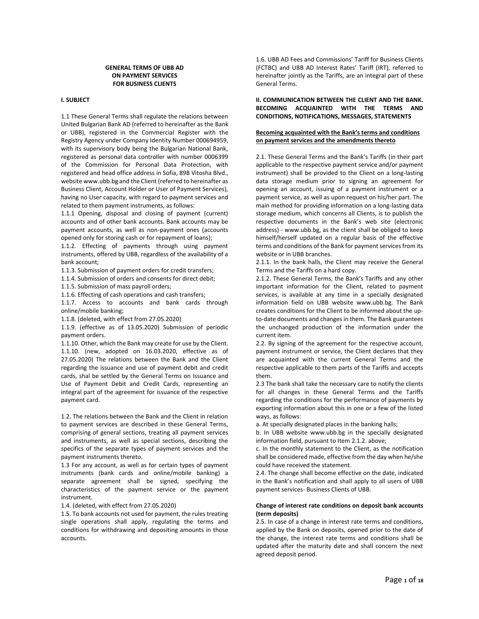# **GENERAL TERMS OF UBB AD ON PAYMENT SERVICES FOR BUSINESS CLIENTS**

# **I. SUBJECT**

1.1 These General Terms shall regulate the relations between United Bulgarian Bank AD (referred to hereinafter as the Bank or UBB), registered in the Commercial Register with the Registry Agency under Company Identity Number 000694959, with its supervisory body being the Bulgarian National Bank, registered as personal data controller with number 0006399 of the Commission for Personal Data Protection, with registered and head office address in Sofia, 89B Vitosha Blvd., website www.ubb.bg and the Client (referred to hereinafter as Business Client, Account Holder or User of Payment Services), having no User capacity, with regard to payment services and related to them payment instruments, as follows:

1.1.1 Opening, disposal and closing of payment (current) accounts and of other bank accounts. Bank accounts may be payment accounts, as well as non-payment ones (accounts opened only for storing cash or for repayment of loans);

1.1.2. Effecting of payments through using payment instruments, offered by UBB, regardless of the availability of a bank account;

1.1.3. Submission of payment orders for credit transfers;

1.1.4. Submission of orders and consents for direct debit;

1.1.5. Submission of mass payroll orders;

1.1.6. Effecting of cash operations and cash transfers;

1.1.7. Access to accounts and bank cards through online/mobile banking;

1.1.8. (deleted, with effect from 27.05.2020)

1.1.9. (effective as of 13.05.2020) Submission of periodic payment orders.

1.1.10. Other, which the Bank may create for use by the Client. 1.1.10. (new, adopted on 16.03.2020, effective as of 27.05.2020) The relations between the Bank and the Client regarding the issuance and use of payment debit and credit cards, shal be settled by the General Terms on Issuance and Use of Payment Debit and Credit Cards, representing an integral part of the agreement for issuance of the respective payment card.

1.2. The relations between the Bank and the Client in relation to payment services are described in these General Terms, comprising of general sections, treating all payment services and instruments, as well as special sections, describing the specifics of the separate types of payment services and the payment instruments thereto.

1.3 For any account, as well as for certain types of payment instruments (bank cards and online/mobile banking) a separate agreement shall be signed, specifying the characteristics of the payment service or the payment instrument.

1.4. (deleted, with effect from 27.05.2020)

1.5. To bank accounts not used for payment, the rules treating single operations shall apply, regulating the terms and conditions for withdrawing and depositing amounts in those accounts.

1.6. UBB AD Fees and Commissions' Tariff for Business Clients (FCTBC) and UBB AD Interest Rates' Tariff (IRT), referred to hereinafter jointly as the Tariffs, are an integral part of these General Terms.

# **II. COMMUNICATION BETWEEN THE CLIENT AND THE BANK. BECOMING ACQUAINTED WITH THE TERMS AND CONDITIONS, NOTIFICATIONS, MESSAGES, STATEMENTS**

# **Becoming acquainted with the Bank's terms and conditions on payment services and the amendments thereto**

2.1. These General Terms and the Bank's Tariffs (in their part applicable to the respective payment service and/or payment instrument) shall be provided to the Client on a long-lasting data storage medium prior to signing an agreement for opening an account, issuing of a payment instrument or a payment service, as well as upon request on his/her part. The main method for providing information on a long-lasting data storage medium, which concerns all Clients, is to publish the respective documents in the Bank's web site (electronic address) - www.ubb.bg, as the client shall be obliged to keep himself/herself updated on a regular basis of the effective terms and conditions of the Bank for payment services from its website or in UBB branches.

2.1.1. In the bank halls, the Client may receive the General Terms and the Tariffs on a hard copy.

2.1.2. These General Terms, the Bank's Tariffs and any other important information for the Client, related to payment services, is available at any time in a specially designated information field on UBB website www.ubb.bg. The Bank creates conditions for the Client to be informed about the upto-date documents and changes in them. The Bank guarantees the unchanged production of the information under the current item.

2.2. By signing of the agreement for the respective account, payment instrument or service, the Client declares that they are acquainted with the current General Terms and the respective applicable to them parts of the Tariffs and accepts them.

2.3 The bank shall take the necessary care to notify the clients for all changes in these General Terms and the Tariffs regarding the conditions for the performance of payments by exporting information about this in one or a few of the listed ways, as follows:

a. At specially designated places in the banking halls;

b. In UBB website www.ubb.bg in the specially designated information field, pursuant to Item 2.1.2. above;

c. In the monthly statement to the Client, as the notification shall be considered made, effective from the day when he/she could have received the statement.

2.4. The change shall become effective on the date, indicated in the Bank's notification and shall apply to all users of UBB payment services- Business Clients of UBB.

#### **Change of interest rate conditions on deposit bank accounts (term deposits)**

2.5. In case of a change in interest rate terms and conditions, applied by the Bank on deposits, opened prior to the date of the change, the interest rate terms and conditions shall be updated after the maturity date and shall concern the next agreed deposit period.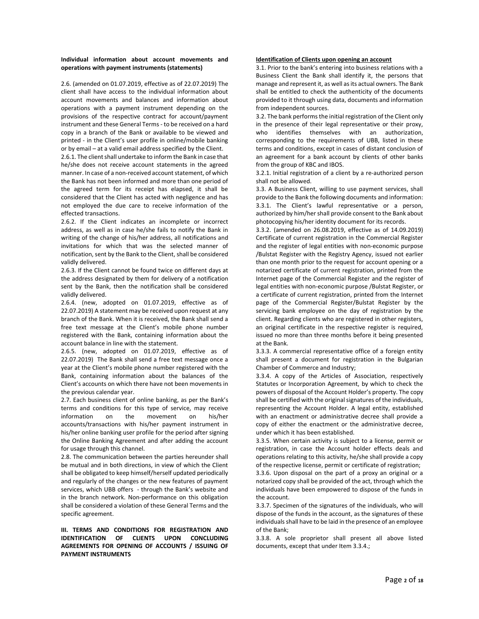### **Individual information about account movements and operations with payment instruments (statements)**

2.6. (amended on 01.07.2019, effective as of 22.07.2019) The client shall have access to the individual information about account movements and balances and information about operations with a payment instrument depending on the provisions of the respective contract for account/payment instrument and these General Terms - to be received on a hard copy in a branch of the Bank or available to be viewed and printed - in the Client's user profile in online/mobile banking or by email – at a valid email address specified by the Client.

2.6.1. The client shall undertake to inform the Bank in case that he/she does not receive account statements in the agreed manner. In case of a non-received account statement, of which the Bank has not been informed and more than one period of the agreed term for its receipt has elapsed, it shall be considered that the Client has acted with negligence and has not employed the due care to receive information of the effected transactions.

2.6.2. If the Client indicates an incomplete or incorrect address, as well as in case he/she fails to notify the Bank in writing of the change of his/her address, all notifications and invitations for which that was the selected manner of notification, sent by the Bank to the Client, shall be considered validly delivered.

2.6.3. If the Client cannot be found twice on different days at the address designated by them for delivery of a notification sent by the Bank, then the notification shall be considered validly delivered.

2.6.4. (new, adopted on 01.07.2019, effective as of 22.07.2019) A statement may be received upon request at any branch of the Bank. When it is received, the Bank shall send a free text message at the Client's mobile phone number registered with the Bank, containing information about the account balance in line with the statement.

2.6.5. (new, adopted on 01.07.2019, effective as of 22.07.2019) The Bank shall send a free text message once a year at the Client's mobile phone number registered with the Bank, containing information about the balances of the Client's accounts on which there have not been movements in the previous calendar year.

2.7. Each business client of online banking, as per the Bank's terms and conditions for this type of service, may receive information on the movement on his/her accounts/transactions with his/her payment instrument in his/her online banking user profile for the period after signing the Online Banking Agreement and after adding the account for usage through this channel.

2.8. The communication between the parties hereunder shall be mutual and in both directions, in view of which the Client shall be obligated to keep himself/herself updated periodically and regularly of the changes or the new features of payment services, which UBB offers - through the Bank's website and in the branch network. Non-performance on this obligation shall be considered a violation of these General Terms and the specific agreement.

**III. TERMS AND CONDITIONS FOR REGISTRATION AND IDENTIFICATION OF CLIENTS UPON CONCLUDING AGREEMENTS FOR OPENING OF ACCOUNTS / ISSUING OF PAYMENT INSTRUMENTS** 

# **Identification of Clients upon opening an account**

3.1. Prior to the bank's entering into business relations with a Business Client the Bank shall identify it, the persons that manage and represent it, as well as its actual owners. The Bank shall be entitled to check the authenticity of the documents provided to it through using data, documents and information from independent sources.

3.2. The bank performs the initial registration of the Client only in the presence of their legal representative or their proxy, who identifies themselves with an authorization, corresponding to the requirements of UBB, listed in these terms and conditions, except in cases of distant conclusion of an agreement for a bank account by clients of other banks from the group of KBC and IBOS.

3.2.1. Initial registration of a client by a re-authorized person shall not be allowed.

3.3. A Business Client, willing to use payment services, shall provide to the Bank the following documents and information: 3.3.1. The Client's lawful representative or a person, authorized by him/her shall provide consent to the Bank about photocopying his/her identity document for its records.

3.3.2. (amended on 26.08.2019, effective as of 14.09.2019) Certificate of current registration in the Commercial Register and the register of legal entities with non-economic purpose /Bulstat Register with the Registry Agency, issued not earlier than one month prior to the request for account opening or a notarized certificate of current registration, printed from the Internet page of the Commercial Register and the register of legal entities with non-economic purpose /Bulstat Register, or a certificate of current registration, printed from the Internet page of the Commercial Register/Bulstat Register by the servicing bank employee on the day of registration by the client. Regarding clients who are registered in other registers, an original certificate in the respective register is required, issued no more than three months before it being presented at the Bank.

3.3.3. A commercial representative office of a foreign entity shall present a document for registration in the Bulgarian Chamber of Commerce and Industry;

3.3.4. A copy of the Articles of Association, respectively Statutes or Incorporation Agreement, by which to check the powers of disposal of the Account Holder's property. The copy shall be certified with the original signatures of the individuals, representing the Account Holder. A legal entity, established with an enactment or administrative decree shall provide a copy of either the enactment or the administrative decree, under which it has been established.

3.3.5. When certain activity is subject to a license, permit or registration, in case the Account holder effects deals and operations relating to this activity, he/she shall provide a copy of the respective license, permit or certificate of registration;

3.3.6. Upon disposal on the part of a proxy an original or a notarized copy shall be provided of the act, through which the individuals have been empowered to dispose of the funds in the account.

3.3.7. Specimen of the signatures of the individuals, who will dispose of the funds in the account, as the signatures of these individuals shall have to be laid in the presence of an employee of the Bank;

3.3.8. A sole proprietor shall present all above listed documents, except that under Item 3.3.4.;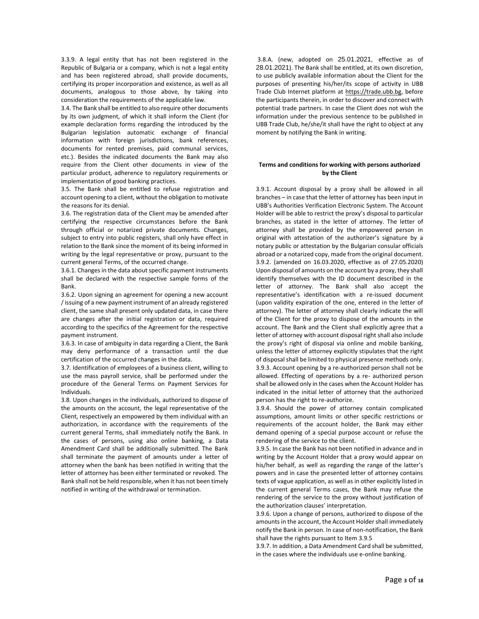3.3.9. A legal entity that has not been registered in the Republic of Bulgaria or a company, which is not a legal entity and has been registered abroad, shall provide documents, certifying its proper incorporation and existence, as well as all documents, analogous to those above, by taking into consideration the requirements of the applicable law.

3.4. The Bank shall be entitled to also require other documents by its own judgment, of which it shall inform the Client (for example declaration forms regarding the introduced by the Bulgarian legislation automatic exchange of financial information with foreign jurisdictions, bank references, documents for rented premises, paid communal services, etc.). Besides the indicated documents the Bank may also require from the Client other documents in view of the particular product, adherence to regulatory requirements or implementation of good banking practices.

3.5. The Bank shall be entitled to refuse registration and account opening to a client, without the obligation to motivate the reasons for its denial.

3.6. The registration data of the Client may be amended after certifying the respective circumstances before the Bank through official or notarized private documents. Changes, subject to entry into public registers, shall only have effect in relation to the Bank since the moment of its being informed in writing by the legal representative or proxy, pursuant to the current general Terms, of the occurred change.

3.6.1. Changes in the data about specific payment instruments shall be declared with the respective sample forms of the Bank.

3.6.2. Upon signing an agreement for opening a new account /issuing of a new payment instrument of an already registered client, the same shall present only updated data, in case there are changes after the initial registration or data, required according to the specifics of the Agreement for the respective payment instrument.

3.6.3. In case of ambiguity in data regarding a Client, the Bank may deny performance of a transaction until the due certification of the occurred changes in the data.

3.7. Identification of employees of a business client, willing to use the mass payroll service, shall be performed under the procedure of the General Terms on Payment Services for Individuals.

3.8. Upon changes in the individuals, authorized to dispose of the amounts on the account, the legal representative of the Client, respectively an empowered by them individual with an authorization, in accordance with the requirements of the current general Terms, shall immediately notify the Bank. In the cases of persons, using also online banking, a Data Amendment Card shall be additionally submitted. The Bank shall terminate the payment of amounts under a letter of attorney when the bank has been notified in writing that the letter of attorney has been either terminated or revoked. The Bank shall not be held responsible, when it has not been timely notified in writing of the withdrawal or termination.

3.8.A. (new, adopted on 25.01.2021, effective as of 28.01.2021). The Bank shall be entitled, at its own discretion, to use publicly available information about the Client for the purposes of presenting his/her/its scope of activity in UBB Trade Club Internet platform at [https://trade.ubb.bg,](https://trade.ubb.bg/) before the participants therein, in order to discover and connect with potential trade partners. In case the Client does not wish the information under the previous sentence to be published in UBB Trade Club, he/she/it shall have the right to object at any moment by notifying the Bank in writing.

# **Terms and conditions for working with persons authorized by the Client**

3.9.1. Account disposal by a proxy shall be allowed in all branches – in case that the letter of attorney has been input in UBB's Authorities Verification Electronic System. The Account Holder will be able to restrict the proxy's disposal to particular branches, as stated in the letter of attorney. The letter of attorney shall be provided by the empowered person in original with attestation of the authorizer's signature by a notary public or attestation by the Bulgarian consular officials abroad or a notarized copy, made from the original document. 3.9.2. (amended on 16.03.2020, effective as of 27.05.2020) Upon disposal of amounts on the account by a proxy, they shall identify themselves with the ID document described in the letter of attorney. The Bank shall also accept the representative's identification with a re-issued document (upon validity expiration of the one, entered in the letter of attorney). The letter of attorney shall clearly indicate the will of the Client for the proxy to dispose of the amounts in the account. The Bank and the Client shall explicitly agree that a letter of attorney with account disposal right shall also include the proxy's right of disposal via online and mobile banking, unless the letter of attorney explicitly stipulates that the right of disposal shall be limited to physical presence methods only. 3.9.3. Account opening by a re-authorized person shall not be allowed. Effecting of operations by a re- authorized person shall be allowed only in the cases when the Account Holder has indicated in the initial letter of attorney that the authorized person has the right to re-authorize.

3.9.4. Should the power of attorney contain complicated assumptions, amount limits or other specific restrictions or requirements of the account holder, the Bank may either demand opening of a special purpose account or refuse the rendering of the service to the client.

3.9.5. In case the Bank has not been notified in advance and in writing by the Account Holder that a proxy would appear on his/her behalf, as well as regarding the range of the latter's powers and in case the presented letter of attorney contains texts of vague application, as well as in other explicitly listed in the current general Terms cases, the Bank may refuse the rendering of the service to the proxy without justification of the authorization clauses' interpretation.

3.9.6. Upon a change of persons, authorized to dispose of the amounts in the account, the Account Holder shall immediately notify the Bank in person. In case of non-notification, the Bank shall have the rights pursuant to Item 3.9.5

3.9.7. In addition, a Data Amendment Card shall be submitted, in the cases where the individuals use e-online banking.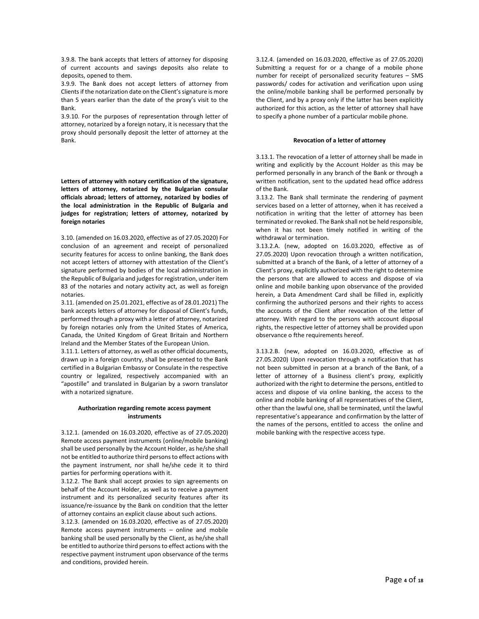3.9.8. The bank accepts that letters of attorney for disposing of current accounts and savings deposits also relate to deposits, opened to them.

3.9.9. The Bank does not accept letters of attorney from Clients if the notarization date on the Client's signature is more than 5 years earlier than the date of the proxy's visit to the Bank.

3.9.10. For the purposes of representation through letter of attorney, notarized by a foreign notary, it is necessary that the proxy should personally deposit the letter of attorney at the Bank.

**Letters of attorney with notary certification of the signature, letters of attorney, notarized by the Bulgarian consular officials abroad; letters of attorney, notarized by bodies of the local administration in the Republic of Bulgaria and judges for registration; letters of attorney, notarized by foreign notaries**

3.10. (amended on 16.03.2020, effective as of 27.05.2020) For conclusion of an agreement and receipt of personalized security features for access to online banking, the Bank does not accept letters of attorney with attestation of the Client's signature performed by bodies of the local administration in the Republic of Bulgaria and judges for registration, under item 83 of the notaries and notary activity act, as well as foreign notaries.

3.11. (amended on 25.01.2021, effective as of 28.01.2021) The bank accepts letters of attorney for disposal of Client's funds, performed through a proxy with a letter of attorney, notarized by foreign notaries only from the United States of America, Canada, the United Kingdom of Great Britain and Northern Ireland and the Member States of the European Union.

3.11.1. Letters of attorney, as well as other official documents, drawn up in a foreign country, shall be presented to the Bank certified in a Bulgarian Embassy or Consulate in the respective country or legalized, respectively accompanied with an "apostille" and translated in Bulgarian by a sworn translator with a notarized signature.

### **Authorization regarding remote access payment instruments**

3.12.1. (amended on 16.03.2020, effective as of 27.05.2020) Remote access payment instruments (online/mobile banking) shall be used personally by the Account Holder, as he/she shall not be entitled to authorize third persons to effect actions with the payment instrument, nor shall he/she cede it to third parties for performing operations with it.

3.12.2. The Bank shall accept proxies to sign agreements on behalf of the Account Holder, as well as to receive a payment instrument and its personalized security features after its issuance/re-issuance by the Bank on condition that the letter of attorney contains an explicit clause about such actions.

3.12.3. (amended on 16.03.2020, effective as of 27.05.2020) Remote access payment instruments – online and mobile banking shall be used personally by the Client, as he/she shall be entitled to authorize third persons to effect actions with the respective payment instrument upon observance of the terms and conditions, provided herein.

3.12.4. (amended on 16.03.2020, effective as of 27.05.2020) Submitting a request for or a change of a mobile phone number for receipt of personalized security features – SMS passwords/ codes for activation and verification upon using the online/mobile banking shall be performed personally by the Client, and by a proxy only if the latter has been explicitly authorized for this action, as the letter of attorney shall have to specify a phone number of a particular mobile phone.

#### **Revocation of a letter of attorney**

3.13.1. The revocation of a letter of attorney shall be made in writing and explicitly by the Account Holder as this may be performed personally in any branch of the Bank or through a written notification, sent to the updated head office address of the Bank.

3.13.2. The Bank shall terminate the rendering of payment services based on a letter of attorney, when it has received a notification in writing that the letter of attorney has been terminated or revoked. The Bank shall not be held responsible, when it has not been timely notified in writing of the withdrawal or termination.

3.13.2.A. (new, adopted on 16.03.2020, effective as of 27.05.2020) Upon revocation through a written notification, submitted at a branch of the Bank, of a letter of attorney of a Client's proxy, explicitly authorized with the right to determine the persons that are allowed to access and dispose of via online and mobile banking upon observance of the provided herein, a Data Amendment Card shall be filled in, explicitly confirming the authorized persons and their rights to access the accounts of the Client after revocation of the letter of attorney. With regard to the persons with account disposal rights, the respective letter of attorney shall be provided upon observance o fthe requirements hereof.

3.13.2.B. (new, adopted on 16.03.2020, effective as of 27.05.2020) Upon revocation through a notification that has not been submitted in person at a branch of the Bank, of a letter of attorney of a Business client's proxy, explicitly authorized with the right to determine the persons, entitled to access and dispose of via online banking, the access to the online and mobile banking of all representatives of the Client, other than the lawful one, shall be terminated, until the lawful representative's appearance and confirmation by the latter of the names of the persons, entitled to access the online and mobile banking with the respective access type.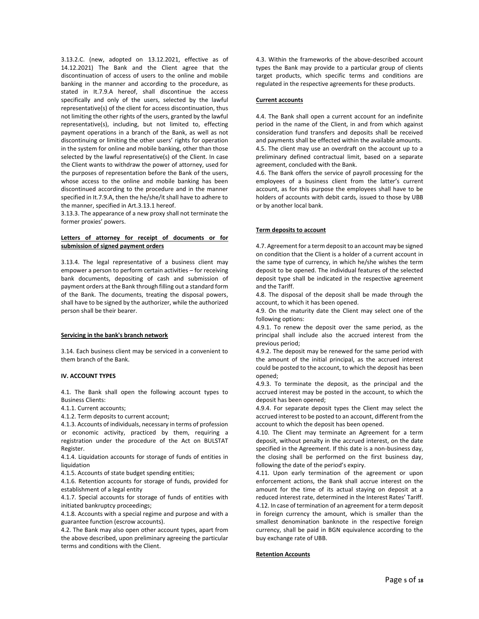3.13.2.C. (new, adopted on 13.12.2021, effective as of 14.12.2021) The Bank and the Client agree that the discontinuation of access of users to the online and mobile banking in the manner and according to the procedure, as stated in It.7.9.A hereof, shall discontinue the access specifically and only of the users, selected by the lawful representative(s) of the client for access discontinuation, thus not limiting the other rights of the users, granted by the lawful representative(s), including, but not limited to, effecting payment operations in a branch of the Bank, as well as not discontinuing or limiting the other users' rights for operation in the system for online and mobile banking, other than those selected by the lawful representative(s) of the Client. In case the Client wants to withdraw the power of attorney, used for the purposes of representation before the Bank of the users, whose access to the online and mobile banking has been discontinued according to the procedure and in the manner specified in It.7.9.A, then the he/she/it shall have to adhere to the manner, specified in Art.3.13.1 hereof.

3.13.3. The appearance of a new proxy shall not terminate the former proxies' powers.

### **Letters of attorney for receipt of documents or for submission of signed payment orders**

3.13.4. The legal representative of a business client may empower a person to perform certain activities – for receiving bank documents, depositing of cash and submission of payment orders at the Bank through filling out a standard form of the Bank. The documents, treating the disposal powers, shall have to be signed by the authorizer, while the authorized person shall be their bearer.

#### **Servicing in the bank's branch network**

3.14. Each business client may be serviced in a convenient to them branch of the Bank.

#### **IV. ACCOUNT TYPES**

4.1. The Bank shall open the following account types to Business Clients:

4.1.1. Current accounts;

4.1.2. Term deposits to current account;

4.1.3. Accounts of individuals, necessary in terms of profession or economic activity, practiced by them, requiring a registration under the procedure of the Act on BULSTAT Register.

4.1.4. Liquidation accounts for storage of funds of entities in liquidation

4.1.5. Accounts of state budget spending entities;

4.1.6. Retention accounts for storage of funds, provided for establishment of a legal entity

4.1.7. Special accounts for storage of funds of entities with initiated bankruptcy proceedings;

4.1.8. Accounts with a special regime and purpose and with a guarantee function (escrow accounts).

4.2. The Bank may also open other account types, apart from the above described, upon preliminary agreeing the particular terms and conditions with the Client.

4.3. Within the frameworks of the above-described account types the Bank may provide to a particular group of clients target products, which specific terms and conditions are regulated in the respective agreements for these products.

### **Current accounts**

4.4. The Bank shall open a current account for an indefinite period in the name of the Client, in and from which against consideration fund transfers and deposits shall be received and payments shall be effected within the available amounts. 4.5. The client may use an overdraft on the account up to a preliminary defined contractual limit, based on a separate agreement, concluded with the Bank.

4.6. The Bank offers the service of payroll processing for the employees of a business client from the latter's current account, as for this purpose the employees shall have to be holders of accounts with debit cards, issued to those by UBB or by another local bank.

# **Term deposits to account**

4.7. Agreement for a term deposit to an account may be signed on condition that the Client is a holder of a current account in the same type of currency, in which he/she wishes the term deposit to be opened. The individual features of the selected deposit type shall be indicated in the respective agreement and the Tariff.

4.8. The disposal of the deposit shall be made through the account, to which it has been opened.

4.9. On the maturity date the Client may select one of the following options:

4.9.1. To renew the deposit over the same period, as the principal shall include also the accrued interest from the previous period;

4.9.2. The deposit may be renewed for the same period with the amount of the initial principal, as the accrued interest could be posted to the account, to which the deposit has been opened;

4.9.3. To terminate the deposit, as the principal and the accrued interest may be posted in the account, to which the deposit has been opened;

4.9.4. For separate deposit types the Client may select the accrued interest to be posted to an account, different from the account to which the deposit has been opened.

4.10. The Client may terminate an Agreement for a term deposit, without penalty in the accrued interest, on the date specified in the Agreement. If this date is a non-business day, the closing shall be performed on the first business day, following the date of the period's expiry.

4.11. Upon early termination of the agreement or upon enforcement actions, the Bank shall accrue interest on the amount for the time of its actual staying on deposit at a reduced interest rate, determined in the Interest Rates' Tariff. 4.12. In case of termination of an agreement for a term deposit in foreign currency the amount, which is smaller than the smallest denomination banknote in the respective foreign currency, shall be paid in BGN equivalence according to the buy exchange rate of UBB.

# **Retention Accounts**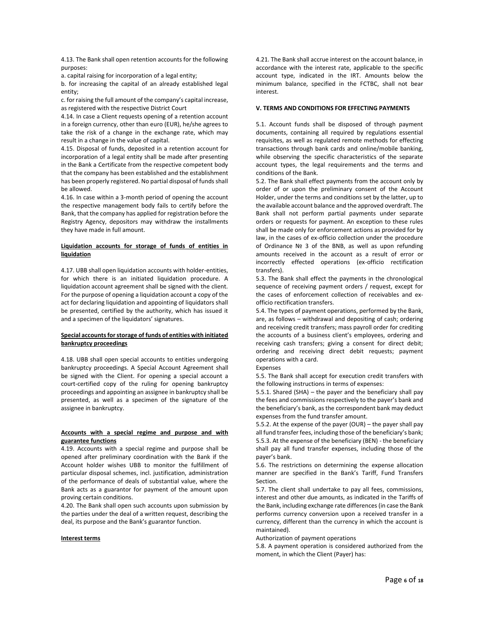4.13. The Bank shall open retention accounts for the following purposes:

a. capital raising for incorporation of a legal entity;

b. for increasing the capital of an already established legal entity;

c. for raising the full amount of the company's capital increase, as registered with the respective District Court

4.14. In case a Client requests opening of a retention account in a foreign currency, other than euro (EUR), he/she agrees to take the risk of a change in the exchange rate, which may result in a change in the value of capital.

4.15. Disposal of funds, deposited in a retention account for incorporation of a legal entity shall be made after presenting in the Bank a Certificate from the respective competent body that the company has been established and the establishment has been properly registered. No partial disposal of funds shall be allowed.

4.16. In case within a 3-month period of opening the account the respective management body fails to certify before the Bank, that the company has applied for registration before the Registry Agency, depositors may withdraw the installments they have made in full amount.

### **Liquidation accounts for storage of funds of entities in liquidation**

4.17. UBB shall open liquidation accounts with holder-entities, for which there is an initiated liquidation procedure. A liquidation account agreement shall be signed with the client. For the purpose of opening a liquidation account a copy of the act for declaring liquidation and appointing of liquidators shall be presented, certified by the authority, which has issued it and a specimen of the liquidators' signatures.

# **Special accounts for storage of funds of entities with initiated bankruptcy proceedings**

4.18. UBB shall open special accounts to entities undergoing bankruptcy proceedings. A Special Account Agreement shall be signed with the Client. For opening a special account a court-certified copy of the ruling for opening bankruptcy proceedings and appointing an assignee in bankruptcy shall be presented, as well as a specimen of the signature of the assignee in bankruptcy.

### **Accounts with a special regime and purpose and with guarantee functions**

4.19. Accounts with a special regime and purpose shall be opened after preliminary coordination with the Bank if the Account holder wishes UBB to monitor the fulfillment of particular disposal schemes, incl. justification, administration of the performance of deals of substantial value, where the Bank acts as a guarantor for payment of the amount upon proving certain conditions.

4.20. The Bank shall open such accounts upon submission by the parties under the deal of a written request, describing the deal, its purpose and the Bank's guarantor function.

#### **Interest terms**

4.21. The Bank shall accrue interest on the account balance, in accordance with the interest rate, applicable to the specific account type, indicated in the IRT. Amounts below the minimum balance, specified in the FCTBC, shall not bear interest.

# **V. TERMS AND CONDITIONS FOR EFFECTING PAYMENTS**

5.1. Account funds shall be disposed of through payment documents, containing all required by regulations essential requisites, as well as regulated remote methods for effecting transactions through bank cards and online/mobile banking, while observing the specific characteristics of the separate account types, the legal requirements and the terms and conditions of the Bank.

5.2. The Bank shall effect payments from the account only by order of or upon the preliminary consent of the Account Holder, under the terms and conditions set by the latter, up to the available account balance and the approved overdraft. The Bank shall not perform partial payments under separate orders or requests for payment. An exception to these rules shall be made only for enforcement actions as provided for by law, in the cases of ex-officio collection under the procedure of Ordinance № 3 of the BNB, as well as upon refunding amounts received in the account as a result of error or incorrectly effected operations (ex-officio rectification transfers).

5.3. The Bank shall effect the payments in the chronological sequence of receiving payment orders / request, except for the cases of enforcement collection of receivables and exofficio rectification transfers.

5.4. The types of payment operations, performed by the Bank, are, as follows – withdrawal and depositing of cash; ordering and receiving credit transfers; mass payroll order for crediting the accounts of a business client's employees, ordering and receiving cash transfers; giving a consent for direct debit; ordering and receiving direct debit requests; payment operations with a card.

### Expenses

5.5. The Bank shall accept for execution credit transfers with the following instructions in terms of expenses:

5.5.1. Shared (SHA) – the payer and the beneficiary shall pay the fees and commissions respectively to the payer's bank and the beneficiary's bank, as the correspondent bank may deduct expenses from the fund transfer amount.

5.5.2. At the expense of the payer (OUR) – the payer shall pay all fund transfer fees, including those of the beneficiary's bank; 5.5.3. At the expense of the beneficiary (BEN) - the beneficiary shall pay all fund transfer expenses, including those of the payer's bank.

5.6. The restrictions on determining the expense allocation manner are specified in the Bank's Tariff, Fund Transfers Section.

5.7. The client shall undertake to pay all fees, commissions, interest and other due amounts, as indicated in the Tariffs of the Bank, including exchange rate differences(in case the Bank performs currency conversion upon a received transfer in a currency, different than the currency in which the account is maintained).

Authorization of payment operations

5.8. A payment operation is considered authorized from the moment, in which the Client (Payer) has: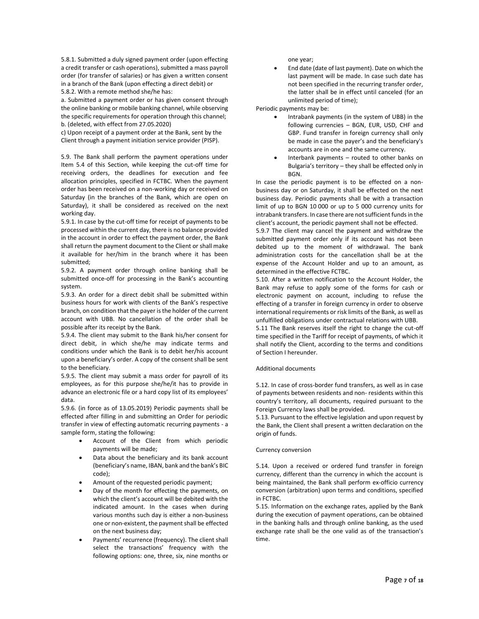5.8.1. Submitted a duly signed payment order (upon effecting a credit transfer or cash operations), submitted a mass payroll order (for transfer of salaries) or has given a written consent in a branch of the Bank (upon effecting a direct debit) or 5.8.2. With a remote method she/he has:

a. Submitted a payment order or has given consent through the online banking or mobile banking channel, while observing the specific requirements for operation through this channel; b. (deleted, with effect from 27.05.2020)

c) Upon receipt of a payment order at the Bank, sent by the Client through a payment initiation service provider (PISP).

5.9. The Bank shall perform the payment operations under Item 5.4 of this Section, while keeping the cut-off time for receiving orders, the deadlines for execution and fee allocation principles, specified in FCTBC. When the payment order has been received on a non-working day or received on Saturday (in the branches of the Bank, which are open on Saturday), it shall be considered as received on the next working day.

5.9.1. In case by the cut-off time for receipt of payments to be processed within the current day, there is no balance provided in the account in order to effect the payment order, the Bank shall return the payment document to the Client or shall make it available for her/him in the branch where it has been submitted;

5.9.2. A payment order through online banking shall be submitted once-off for processing in the Bank's accounting system.

5.9.3. An order for a direct debit shall be submitted within business hours for work with clients of the Bank's respective branch, on condition that the payer is the holder of the current account with UBB. No cancellation of the order shall be possible after its receipt by the Bank.

5.9.4. The client may submit to the Bank his/her consent for direct debit, in which she/he may indicate terms and conditions under which the Bank is to debit her/his account upon a beneficiary's order. A copy of the consent shall be sent to the beneficiary.

5.9.5. The client may submit a mass order for payroll of its employees, as for this purpose she/he/it has to provide in advance an electronic file or a hard copy list of its employees' data.

5.9.6. (in force as of 13.05.2019) Periodic payments shall be effected after filling in and submitting an Order for periodic transfer in view of effecting automatic recurring payments - a sample form, stating the following:

- Account of the Client from which periodic payments will be made;
- Data about the beneficiary and its bank account (beneficiary's name, IBAN, bank and the bank's BIC code);
- Amount of the requested periodic payment;
- Day of the month for effecting the payments, on which the client's account will be debited with the indicated amount. In the cases when during various months such day is either a non-business one or non-existent, the payment shall be effected on the next business day;
- Payments' recurrence (frequency). The client shall select the transactions' frequency with the following options: one, three, six, nine months or

one year;

• End date (date of last payment). Date on which the last payment will be made. In case such date has not been specified in the recurring transfer order, the latter shall be in effect until canceled (for an unlimited period of time);

Periodic payments may be:

- Intrabank payments (in the system of UBB) in the following currencies – BGN, EUR, USD, CHF and GBP. Fund transfer in foreign currency shall only be made in case the payer's and the beneficiary's accounts are in one and the same currency.
- Interbank payments routed to other banks on Bulgaria's territory – they shall be effected only in BGN.

In case the periodic payment is to be effected on a nonbusiness day or on Saturday, it shall be effected on the next business day. Periodic payments shall be with a transaction limit of up to BGN 10 000 or up to 5 000 currency units for intrabank transfers. In case there are not sufficient funds in the client's account, the periodic payment shall not be effected.

5.9.7 The client may cancel the payment and withdraw the submitted payment order only if its account has not been debited up to the moment of withdrawal. The bank administration costs for the cancellation shall be at the expense of the Account Holder and up to an amount, as determined in the effective FCTBC.

5.10. After a written notification to the Account Holder, the Bank may refuse to apply some of the forms for cash or electronic payment on account, including to refuse the effecting of a transfer in foreign currency in order to observe international requirements or risk limits of the Bank, as well as unfulfilled obligations under contractual relations with UBB.

5.11 The Bank reserves itself the right to change the cut-off time specified in the Tariff for receipt of payments, of which it shall notify the Client, according to the terms and conditions of Section I hereunder.

# Additional documents

5.12. In case of cross-border fund transfers, as well as in case of payments between residents and non- residents within this country's territory, all documents, required pursuant to the Foreign Currency laws shall be provided.

5.13. Pursuant to the effective legislation and upon request by the Bank, the Client shall present a written declaration on the origin of funds.

# Currency conversion

5.14. Upon a received or ordered fund transfer in foreign currency, different than the currency in which the account is being maintained, the Bank shall perform ex-officio currency conversion (arbitration) upon terms and conditions, specified in FCTBC.

5.15. Information on the exchange rates, applied by the Bank during the execution of payment operations, can be obtained in the banking halls and through online banking, as the used exchange rate shall be the one valid as of the transaction's time.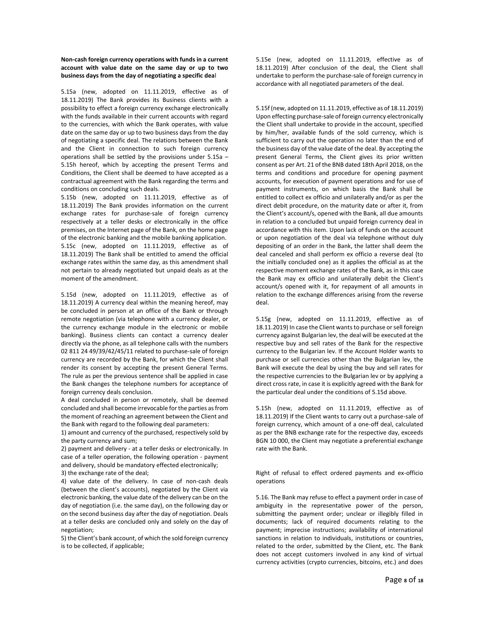# **Non-cash foreign currency operations with funds in a current account with value date on the same day or up to two business days from the day of negotiating a specific dea**l

5.15a (new, adopted on 11.11.2019, effective as of 18.11.2019) The Bank provides its Business clients with a possibility to effect a foreign currency exchange electronically with the funds available in their current accounts with regard to the currencies, with which the Bank operates, with value date on the same day or up to two business days from the day of negotiating a specific deal. The relations between the Bank and the Client in connection to such foreign currency operations shall be settled by the provisions under 5.15a – 5.15h hereof, which by accepting the present Terms and Conditions, the Client shall be deemed to have accepted as a contractual agreement with the Bank regarding the terms and conditions on concluding such deals.

5.15b (new, adopted on 11.11.2019, effective as of 18.11.2019) The Bank provides information on the current exchange rates for purchase-sale of foreign currency respectively at a teller desks or electronically in the office premises, on the Internet page of the Bank, on the home page of the electronic banking and the mobile banking application. 5.15c (new, adopted on 11.11.2019, effective as of 18.11.2019) The Bank shall be entitled to amend the official exchange rates within the same day, as this amendment shall not pertain to already negotiated but unpaid deals as at the moment of the amendment.

5.15d (new, adopted on 11.11.2019, effective as of 18.11.2019) A currency deal within the meaning hereof, may be concluded in person at an office of the Bank or through remote negotiation (via telephone with a currency dealer, or the currency exchange module in the electronic or mobile banking). Business clients can contact a currency dealer directly via the phone, as all telephone calls with the numbers 02 811 24 49/39/42/45/11 related to purchase-sale of foreign currency are recorded by the Bank, for which the Client shall render its consent by accepting the present General Terms. The rule as per the previous sentence shall be applied in case the Bank changes the telephone numbers for acceptance of foreign currency deals conclusion.

A deal concluded in person or remotely, shall be deemed concluded and shall become irrevocable forthe parties as from the moment of reaching an agreement between the Client and the Bank with regard to the following deal parameters:

1) amount and currency of the purchased, respectively sold by the party currency and sum;

2) payment and delivery - at a teller desks or electronically. In case of a teller operation, the following operation - payment and delivery, should be mandatory effected electronically; 3) the exchange rate of the deal;

4) value date of the delivery. In case of non-cash deals (between the client's accounts), negotiated by the Client via

electronic banking, the value date of the delivery can be on the day of negotiation (i.e. the same day), on the following day or on the second business day after the day of negotiation. Deals at a teller desks are concluded only and solely on the day of negotiation;

5) the Client's bank account, of which the sold foreign currency is to be collected, if applicable;

5.15e (new, adopted on 11.11.2019, effective as of 18.11.2019) After conclusion of the deal, the Client shall undertake to perform the purchase-sale of foreign currency in accordance with all negotiated parameters of the deal.

5.15f (new, adopted on 11.11.2019, effective as of 18.11.2019) Upon effecting purchase-sale of foreign currency electronically the Client shall undertake to provide in the account, specified by him/her, available funds of the sold currency, which is sufficient to carry out the operation no later than the end of the business day of the value date of the deal. By accepting the present General Terms, the Client gives its prior written consent as per Art. 21 of the BNB dated 18th April 2018, on the terms and conditions and procedure for opening payment accounts, for execution of payment operations and for use of payment instruments, on which basis the Bank shall be entitled to collect ex officio and unilaterally and/or as per the direct debit procedure, on the maturity date or after it, from the Client's account/s, opened with the Bank, all due amounts in relation to a concluded but unpaid foreign currency deal in accordance with this item. Upon lack of funds on the account or upon negotiation of the deal via telephone without duly depositing of an order in the Bank, the latter shall deem the deal canceled and shall perform ex officio a reverse deal (to the initially concluded one) as it applies the official as at the respective moment exchange rates of the Bank, as in this case the Bank may ex officio and unilaterally debit the Client's account/s opened with it, for repayment of all amounts in relation to the exchange differences arising from the reverse deal.

5.15g (new, adopted on 11.11.2019, effective as of 18.11.2019) In case the Client wants to purchase or sell foreign currency against Bulgarian lev, the deal will be executed at the respective buy and sell rates of the Bank for the respective currency to the Bulgarian lev. If the Account Holder wants to purchase or sell currencies other than the Bulgarian lev, the Bank will execute the deal by using the buy and sell rates for the respective currencies to the Bulgarian lev or by applying a direct cross rate, in case it is explicitly agreed with the Bank for the particular deal under the conditions of 5.15d above.

5.15h (new, adopted on 11.11.2019, effective as of 18.11.2019) If the Client wants to carry out a purchase-sale of foreign currency, which amount of a one-off deal, calculated as per the BNB exchange rate for the respective day, exceeds BGN 10 000, the Client may negotiate a preferential exchange rate with the Bank.

Right of refusal to effect ordered payments and ex-officio operations

5.16. The Bank may refuse to effect a payment order in case of ambiguity in the representative power of the person, submitting the payment order; unclear or illegibly filled in documents; lack of required documents relating to the payment; imprecise instructions; availability of international sanctions in relation to individuals, institutions or countries, related to the order, submitted by the Client, etc. The Bank does not accept customers involved in any kind of virtual currency activities (crypto currencies, bitcoins, etc.) and does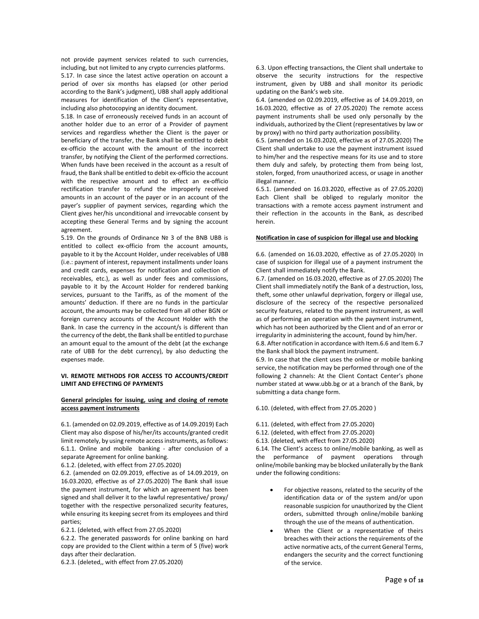not provide payment services related to such currencies, including, but not limited to any crypto currencies platforms.

5.17. In case since the latest active operation on account a period of over six months has elapsed (or other period according to the Bank's judgment), UBB shall apply additional measures for identification of the Client's representative, including also photocopying an identity document.

5.18. In case of erroneously received funds in an account of another holder due to an error of a Provider of payment services and regardless whether the Client is the payer or beneficiary of the transfer, the Bank shall be entitled to debit ex-officio the account with the amount of the incorrect transfer, by notifying the Client of the performed corrections. When funds have been received in the account as a result of fraud, the Bank shall be entitled to debit ex-officio the account with the respective amount and to effect an ex-officio rectification transfer to refund the improperly received amounts in an account of the payer or in an account of the payer's supplier of payment services, regarding which the Client gives her/his unconditional and irrevocable consent by accepting these General Terms and by signing the account agreement.

5.19. On the grounds of Ordinance № 3 of the BNB UBB is entitled to collect ex-officio from the account amounts, payable to it by the Account Holder, under receivables of UBB (i.e.: payment of interest, repayment installments under loans and credit cards, expenses for notification and collection of receivables, etc.), as well as under fees and commissions, payable to it by the Account Holder for rendered banking services, pursuant to the Tariffs, as of the moment of the amounts' deduction. If there are no funds in the particular account, the amounts may be collected from all other BGN or foreign currency accounts of the Account Holder with the Bank. In case the currency in the account/s is different than the currency of the debt, the Bank shall be entitled to purchase an amount equal to the amount of the debt (at the exchange rate of UBB for the debt currency), by also deducting the expenses made.

### **VI. REMOTE METHODS FOR ACCESS TO ACCOUNTS/CREDIT LIMIT AND EFFECTING OF PAYMENTS**

# **General principles for issuing, using and closing of remote access payment instruments**

6.1. (amended on 02.09.2019, effective as of 14.09.2019) Each Client may also dispose of his/her/its accounts/granted credit limit remotely, by using remote access instruments, as follows: 6.1.1. Online and mobile banking - after conclusion of a separate Agreement for online banking.

6.1.2. (deleted, with effect from 27.05.2020)

6.2. (amended on 02.09.2019, effective as of 14.09.2019, on 16.03.2020, effective as of 27.05.2020) The Bank shall issue the payment instrument, for which an agreement has been signed and shall deliver it to the lawful representative/ proxy/ together with the respective personalized security features, while ensuring its keeping secret from its employees and third parties;

6.2.1. (deleted, with effect from 27.05.2020)

6.2.2. The generated passwords for online banking on hard copy are provided to the Client within a term of 5 (five) work days after their declaration.

6.2.3. (deleted,, with effect from 27.05.2020)

6.3. Upon effecting transactions, the Client shall undertake to observe the security instructions for the respective instrument, given by UBB and shall monitor its periodic updating on the Bank's web site.

6.4. (amended on 02.09.2019, effective as of 14.09.2019, on 16.03.2020, effective as of 27.05.2020) The remote access payment instruments shall be used only personally by the individuals, authorized by the Client (representatives by law or by proxy) with no third party authorization possibility.

6.5. (amended on 16.03.2020, effective as of 27.05.2020) The Client shall undertake to use the payment instrument issued to him/her and the respective means for its use and to store them duly and safely, by protecting them from being lost, stolen, forged, from unauthorized access, or usage in another illegal manner.

6.5.1. (amended on 16.03.2020, effective as of 27.05.2020) Each Client shall be obliged to regularly monitor the transactions with a remote access payment instrument and their reflection in the accounts in the Bank, as described herein.

### **Notification in case of suspicion for illegal use and blocking**

6.6. (amended on 16.03.2020, effective as of 27.05.2020) In case of suspicion for illegal use of a payment instrument the Client shall immediately notify the Bank.

6.7. (amended on 16.03.2020, effective as of 27.05.2020) The Client shall immediately notify the Bank of a destruction, loss, theft, some other unlawful deprivation, forgery or illegal use, disclosure of the secrecy of the respective personalized security features, related to the payment instrument, as well as of performing an operation with the payment instrument, which has not been authorized by the Client and of an error or irregularity in administering the account, found by him/her.

6.8. After notification in accordance with Item.6.6 and Item 6.7 the Bank shall block the payment instrument.

6.9. In case that the client uses the online or mobile banking service, the notification may be performed through one of the following 2 channels: At the Client Contact Center's phone number stated at www.ubb.bg or at a branch of the Bank, by submitting a data change form.

6.10. (deleted, with effect from 27.05.2020 )

- 6.11. (deleted, with effect from 27.05.2020)
- 6.12. (deleted, with effect from 27.05.2020)
- 6.13. (deleted, with effect from 27.05.2020)

6.14. The Client's access to online/mobile banking, as well as the performance of payment operations through online/mobile banking may be blocked unilaterally by the Bank under the following conditions:

- For objective reasons, related to the security of the identification data or of the system and/or upon reasonable suspicion for unauthorized by the Client orders, submitted through online/mobile banking through the use of the means of authentication.
- When the Client or a representative of theirs breaches with their actions the requirements of the active normative acts, of the current General Terms, endangers the security and the correct functioning of the service.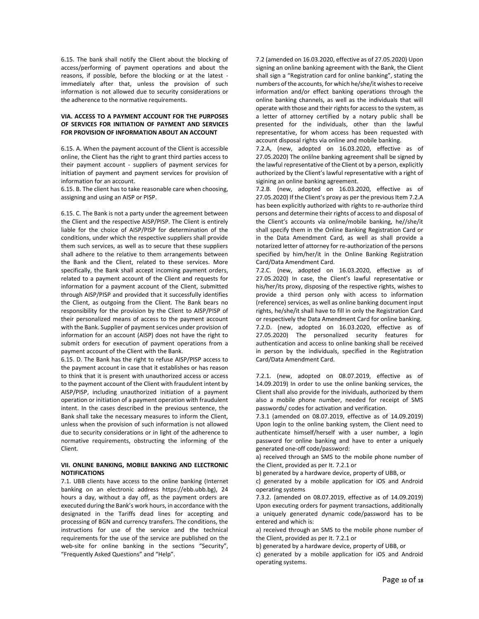6.15. The bank shall notify the Client about the blocking of access/performing of payment operations and about the reasons, if possible, before the blocking or at the latest immediately after that, unless the provision of such information is not allowed due to security considerations or the adherence to the normative requirements.

# **VIA. ACCESS TO A PAYMENT ACCOUNT FOR THE PURPOSES OF SERVICES FOR INITIATION OF PAYMENT AND SERVICES FOR PROVISION OF INFORMATION ABOUT AN ACCOUNT**

6.15. A. When the payment account of the Client is accessible online, the Client has the right to grant third parties access to their payment account - suppliers of payment services for initiation of payment and payment services for provision of information for an account.

6.15. B. The client has to take reasonable care when choosing, assigning and using an AISP or PISP.

6.15. C. The Bank is not a party under the agreement between the Client and the respective AISP/PISP. The Client is entirely liable for the choice of AISP/PISP for determination of the conditions, under which the respective suppliers shall provide them such services, as well as to secure that these suppliers shall adhere to the relative to them arrangements between the Bank and the Client, related to these services. More specifically, the Bank shall accept incoming payment orders, related to a payment account of the Client and requests for information for a payment account of the Client, submitted through AISP/PISP and provided that it successfully identifies the Client, as outgoing from the Client. The Bank bears no responsibility for the provision by the Client to AISP/PISP of their personalized means of access to the payment account with the Bank. Supplier of payment services under provision of information for an account (AISP) does not have the right to submit orders for execution of payment operations from a payment account of the Client with the Bank.

6.15. D. The Bank has the right to refuse AISP/PISP access to the payment account in case that it establishes or has reason to think that it is present with unauthorized access or access to the payment account of the Client with fraudulent intent by AISP/PISP, including unauthorized initiation of a payment operation or initiation of a payment operation with fraudulent intent. In the cases described in the previous sentence, the Bank shall take the necessary measures to inform the Client, unless when the provision of such information is not allowed due to security considerations or in light of the adherence to normative requirements, obstructing the informing of the Client.

# **VII. ONLINE BANKING, MOBILE BANKING AND ELECTRONIC NOTIFICATIONS**

7.1. UBB clients have access to the online banking (Internet banking on an electronic address https://ebb.ubb.bg), 24 hours a day, without a day off, as the payment orders are executed during the Bank's work hours, in accordance with the designated in the Tariffs dead lines for accepting and processing of BGN and currency transfers. The conditions, the instructions for use of the service and the technical requirements for the use of the service are published on the web-site for online banking in the sections "Security", "Frequently Asked Questions" and "Help".

7.2 (amended on 16.03.2020, effective as of 27.05.2020) Upon signing an online banking agreement with the Bank, the Client shall sign a "Registration card for online banking", stating the numbers of the accounts, for which he/she/it wishes to receive information and/or effect banking operations through the online banking channels, as well as the individuals that will operate with those and their rights for access to the system, as a letter of attorney certified by a notary public shall be presented for the individuals, other than the lawful representative, for whom access has been requested with account disposal rights via online and mobile banking.

7.2.A, (new, adopted on 16.03.2020, effective as of 27.05.2020) The onlilne banking agreement shall be signed by the lawful representative of the Client ot by a person, explicitly authorized by the Client's lawful representative with a right of sigining an online banking agreement.

7.2.B. (new, adopted on 16.03.2020, effective as of 27.05.2020) If the Client's proxy as per the previous Item 7.2.A has been explicitly authorized with rights to re-authorize third persons and determine their rights of access to and disposal of the Client's accounts via online/mobile banking, he//she/it shall specify them in the Online Banking Registration Card or in the Data Amendment Card, as well as shall provide a notarized letter of attorney for re-authorization of the persons specified by him/her/it in the Online Banking Registration Card/Data Amendment Card.

7.2.C. (new, adopted on 16.03.2020, effective as of 27.05.2020) In case, the Client's lawful representative or his/her/its proxy, disposing of the respective rights, wishes to provide a third person only with access to information (reference) services, as well as online banking document input rights, he/she/it shall have to fill in only the Registration Card or respectively the Data Amendment Card for online banking. 7.2.D. (new, adopted on 16.03.2020, effective as of 27.05.2020) The personalized security features for authentication and access to online banking shall be received in person by the individuals, specified in the Registration Card/Data Amendment Card.

7.2.1. (new, adopted on 08.07.2019, effective as of 14.09.2019) In order to use the online banking services, the Client shall also provide for the inividuals, authorized by them also a mobile phone number, needed for receipt of SMS passwords/ codes for activation and verification.

7.3.1 (amended on 08.07.2019, effective as of 14.09.2019) Upon login to the online banking system, the Client need to authenticate himself/herself with a user number, a login password for online banking and have to enter a uniquely generated one-off code/password:

a) received through an SMS to the mobile phone number of the Client, provided as per It. 7.2.1 or

b) generated by a hardware device, property of UBB, or

c) generated by a mobile application for iOS and Android operating systems

7.3.2. (amended on 08.07.2019, effective as of 14.09.2019) Upon executing orders for payment transactions, additionally a uniquely generated dynamic code/password has to be entered and which is:

a) received through an SMS to the mobile phone number of the Client, provided as per It. 7.2.1 or

b) generated by a hardware device, property of UBB, or

c) generated by a mobile application for iOS and Android operating systems.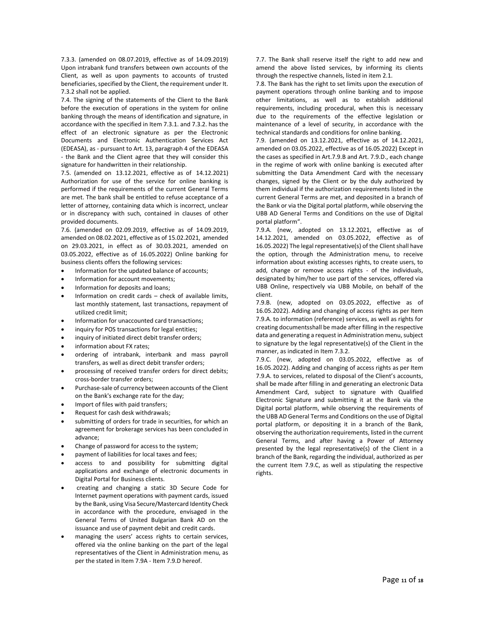7.3.3. (amended on 08.07.2019, effective as of 14.09.2019) Upon intrabank fund transfers between own accounts of the Client, as well as upon payments to accounts of trusted beneficiaries, specified by the Client, the requirement under It. 7.3.2 shall not be applied.

7.4. The signing of the statements of the Client to the Bank before the execution of operations in the system for online banking through the means of identification and signature, in accordance with the specified in Item 7.3.1. and 7.3.2. has the effect of an electronic signature as per the Electronic Documents and Electronic Authentication Services Act (EDEASA), as - pursuant to Art. 13, paragraph 4 of the EDEASA - the Bank and the Client agree that they will consider this signature for handwritten in their relationship.

7.5. (amended on 13.12.2021, effective as of 14.12.2021) Authorization for use of the service for online banking is performed if the requirements of the current General Terms are met. The bank shall be entitled to refuse acceptance of a letter of attorney, containing data which is incorrect, unclear or in discrepancy with such, contained in clauses of other provided documents.

7.6. (amended on 02.09.2019, effective as of 14.09.2019, amended on 08.02.2021, effective as of 15.02.2021, amended on 29.03.2021, in effect as of 30.03.2021, amended on 03.05.2022, effective as of 16.05.2022) Online banking for business clients offers the following services:

- Information for the updated balance of accounts;
- Information for account movements;
- Information for deposits and loans;
- Information on credit cards check of available limits, last monthly statement, last transactions, repayment of utilized credit limit;
- Information for unaccounted card transactions;
- inquiry for POS transactions for legal entities;
- inquiry of initiated direct debit transfer orders;
- information about FX rates;
- ordering of intrabank, interbank and mass payroll transfers, as well as direct debit transfer orders;
- processing of received transfer orders for direct debits; cross-border transfer orders;
- Purchase-sale of currency between accounts of the Client on the Bank's exchange rate for the day;
- Import of files with paid transfers;
- Request for cash desk withdrawals;
- submitting of orders for trade in securities, for which an agreement for brokerage services has been concluded in advance;
- Change of password for access to the system;
- payment of liabilities for local taxes and fees;
- access to and possibility for submitting digital applications and exchange of electronic documents in Digital Portal for Business clients.
- creating and changing a static 3D Secure Code for Internet payment operations with payment cards, issued by the Bank, using Visa Secure/Mastercard Identity Check in accordance with the procedure, envisaged in the General Terms of United Bulgarian Bank AD on the issuance and use of payment debit and credit cards.
- managing the users' access rights to certain services, offered via the online banking on the part of the legal representatives of the Client in Administration menu, as per the stated in Item 7.9A - Item 7.9.D hereof.

7.7. The Bank shall reserve itself the right to add new and amend the above listed services, by informing its clients through the respective channels, listed in item 2.1.

7.8. The Bank has the right to set limits upon the execution of payment operations through online banking and to impose other limitations, as well as to establish additional requirements, including procedural, when this is necessary due to the requirements of the effective legislation or maintenance of a level of security, in accordance with the technical standards and conditions for online banking.

7.9. (amended on 13.12.2021, effective as of 14.12.2021, amended on 03.05.2022, effective as of 16.05.2022) Except in the cases as specified in Art.7.9.B and Art. 7.9.D., each change in the regime of work with online banking is executed after submitting the Data Amendment Card with the necessary changes, signed by the Client or by the duly authorized by them individual if the authorization requirements listed in the current General Terms are met, and deposited in a branch of the Bank or via the Digital portal platform, while observing the UBB AD General Terms and Conditions on the use of Digital portal platform".

7.9.A. (new, adopted on 13.12.2021, effective as of 14.12.2021, amended on 03.05.2022, effective as of 16.05.2022) The legal representative(s) of the Client shall have the option, through the Administration menu, to receive information about existing accesses rights, to create users, to add, change or remove access rights - of the individuals, designated by him/her to use part of the services, offered via UBB Online, respectively via UBB Mobile, on behalf of the client.

7.9.B. (new, adopted on 03.05.2022, effective as of 16.05.2022). Adding and changing of access rights as per Item 7.9.A. to information (reference) services, as well as rights for creating documentsshall be made after filling in the respective data and generating a request in Administration menu, subject to signature by the legal representative(s) of the Client in the manner, as indicated in Item 7.3.2.

7.9.C. (new, adopted on 03.05.2022, effective as of 16.05.2022). Adding and changing of access rights as per Item 7.9.A. to services, related to disposal of the Client's accounts, shall be made after filling in and generating an electronic Data Amendment Card, subject to signature with Qualified Electronic Signature and submitting it at the Bank via the Digital portal platform, while observing the requirements of the UBB AD General Terms and Conditions on the use of Digital portal platform, or depositing it in a branch of the Bank, observing the authorization requirements, listed in the current General Terms, and after having a Power of Attorney presented by the legal representative(s) of the Client in a branch of the Bank, regarding the individual, authorized as per the current Item 7.9.C, as well as stipulating the respective rights.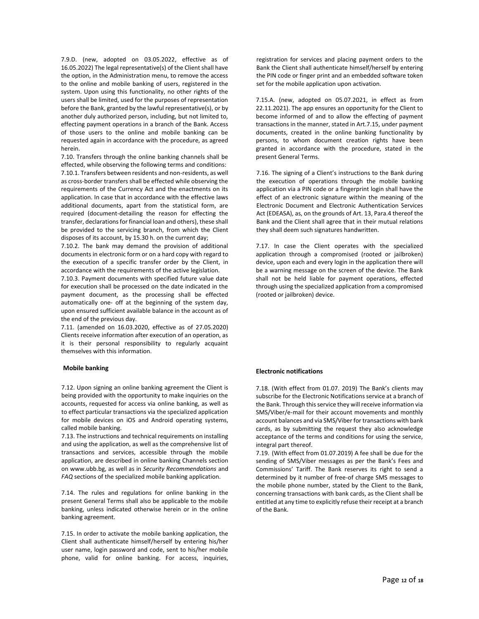7.9.D. (new, adopted on 03.05.2022, effective as of 16.05.2022) The legal representative(s) of the Client shall have the option, in the Administration menu, to remove the access to the online and mobile banking of users, registered in the system. Upon using this functionality, no other rights of the users shall be limited, used for the purposes of representation before the Bank, granted by the lawful representative(s), or by another duly authorized person, including, but not limited to, effecting payment operations in a branch of the Bank. Access of those users to the online and mobile banking can be requested again in accordance with the procedure, as agreed herein.

7.10. Transfers through the online banking channels shall be effected, while observing the following terms and conditions: 7.10.1. Transfers between residents and non-residents, as well as cross-border transfers shall be effected while observing the requirements of the Currency Act and the enactments on its application. In case that in accordance with the effective laws additional documents, apart from the statistical form, are required (document-detailing the reason for effecting the transfer, declarations for financial loan and others), these shall be provided to the servicing branch, from which the Client disposes of its account, by 15.30 h. on the current day;

7.10.2. The bank may demand the provision of additional documents in electronic form or on a hard copy with regard to the execution of a specific transfer order by the Client, in accordance with the requirements of the active legislation.

7.10.3. Payment documents with specified future value date for execution shall be processed on the date indicated in the payment document, as the processing shall be effected automatically one- off at the beginning of the system day, upon ensured sufficient available balance in the account as of the end of the previous day.

7.11. (amended on 16.03.2020, effective as of 27.05.2020) Clients receive information after execution of an operation, as it is their personal responsibility to regularly acquaint themselves with this information.

#### **Mobile banking**

7.12. Upon signing an online banking agreement the Client is being provided with the opportunity to make inquiries on the accounts, requested for access via online banking, as well as to effect particular transactions via the specialized application for mobile devices on iOS and Android operating systems, called mobile banking.

7.13. The instructions and technical requirements on installing and using the application, as well as the comprehensive list of transactions and services, accessible through the mobile application, are described in online banking Channels section on www.ubb.bg, as well as in *Security Recommendations* and *FAQ* sections of the specialized mobile banking application.

7.14. The rules and regulations for online banking in the present General Terms shall also be applicable to the mobile banking, unless indicated otherwise herein or in the online banking agreement.

7.15. In order to activate the mobile banking application, the Client shall authenticate himself/herself by entering his/her user name, login password and code, sent to his/her mobile phone, valid for online banking. For access, inquiries,

registration for services and placing payment orders to the Bank the Client shall authenticate himself/herself by entering the PIN code or finger print and an embedded software token set for the mobile application upon activation.

7.15.A. (new, adopted on 05.07.2021, in effect as from 22.11.2021). The app ensures an opportunity for the Client to become informed of and to allow the effecting of payment transactions in the manner, stated in Art.7.15, under payment documents, created in the online banking functionality by persons, to whom document creation rights have been granted in accordance with the procedure, stated in the present General Terms.

7.16. The signing of a Client's instructions to the Bank during the execution of operations through the mobile banking application via a PIN code or a fingerprint login shall have the effect of an electronic signature within the meaning of the Electronic Document and Electronic Authentication Services Act (EDEASA), as, on the grounds of Art. 13, Para.4 thereof the Bank and the Client shall agree that in their mutual relations they shall deem such signatures handwritten.

7.17. In case the Client operates with the specialized application through a compromised (rooted or jailbroken) device, upon each and every login in the application there will be a warning message on the screen of the device. The Bank shall not be held liable for payment operations, effected through using the specialized application from a compromised (rooted or jailbroken) device.

#### **Electronic notifications**

7.18. (With effect from 01.07. 2019) The Bank's clients may subscribe for the Electronic Notifications service at a branch of the Bank. Through this service they will receive information via SMS/Viber/e-mail for their account movements and monthly account balances and via SMS/Viber for transactions with bank cards, as by submitting the request they also acknowledge acceptance of the terms and conditions for using the service, integral part thereof.

7.19. (With effect from 01.07.2019) A fee shall be due for the sending of SMS/Viber messages as per the Bank's Fees and Commissions' Tariff. The Bank reserves its right to send a determined by it number of free-of charge SMS messages to the mobile phone number, stated by the Client to the Bank, concerning transactions with bank cards, as the Client shall be entitled at any time to explicitly refuse their receipt at a branch of the Bank.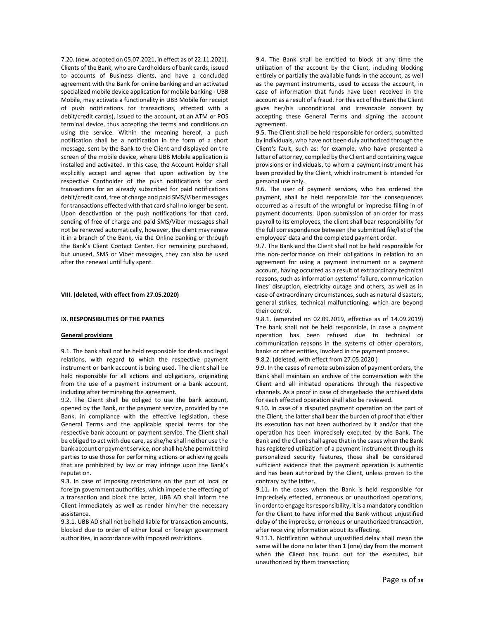7.20. (new, adopted on 05.07.2021, in effect as of 22.11.2021). Clients of the Bank, who are Cardholders of bank cards, issued to accounts of Business clients, and have a concluded agreement with the Bank for online banking and an activated specialized mobile device application for mobile banking - UBB Mobile, may activate a functionality in UBB Mobile for receipt of push notifications for transactions, effected with a debit/credit card(s), issued to the account, at an ATM or POS terminal device, thus accepting the terms and conditions on using the service. Within the meaning hereof, a push notification shall be a notification in the form of a short message, sent by the Bank to the Client and displayed on the screen of the mobile device, where UBB Mobile application is installed and activated. In this case, the Account Holder shall explicitly accept and agree that upon activation by the respective Cardholder of the push notifications for card transactions for an already subscribed for paid notifications debit/credit card, free of charge and paid SMS/Viber messages for transactions effected with that card shall no longer be sent. Upon deactivation of the push notifications for that card, sending of free of charge and paid SMS/Viber messages shall not be renewed automatically, however, the client may renew it in a branch of the Bank, via the Online banking or through the Bank's Client Contact Center. For remaining purchased, but unused, SMS or Viber messages, they can also be used after the renewal until fully spent.

**VIII. (deleted, with effect from 27.05.2020)** 

#### **IX. RESPONSIBILITIES OF THE PARTIES**

#### **General provisions**

9.1. The bank shall not be held responsible for deals and legal relations, with regard to which the respective payment instrument or bank account is being used. The client shall be held responsible for all actions and obligations, originating from the use of a payment instrument or a bank account, including after terminating the agreement.

9.2. The Client shall be obliged to use the bank account, opened by the Bank, or the payment service, provided by the Bank, in compliance with the effective legislation, these General Terms and the applicable special terms for the respective bank account or payment service. The Client shall be obliged to act with due care, as she/he shall neither use the bank account or payment service, nor shall he/she permit third parties to use those for performing actions or achieving goals that are prohibited by law or may infringe upon the Bank's reputation.

9.3. In case of imposing restrictions on the part of local or foreign government authorities, which impede the effecting of a transaction and block the latter, UBB AD shall inform the Client immediately as well as render him/her the necessary assistance.

9.3.1. UBB AD shall not be held liable for transaction amounts, blocked due to order of either local or foreign government authorities, in accordance with imposed restrictions.

9.4. The Bank shall be entitled to block at any time the utilization of the account by the Client, including blocking entirely or partially the available funds in the account, as well as the payment instruments, used to access the account, in case of information that funds have been received in the account as a result of a fraud. For this act of the Bank the Client gives her/his unconditional and irrevocable consent by accepting these General Terms and signing the account agreement.

9.5. The Client shall be held responsible for orders, submitted by individuals, who have not been duly authorized through the Client's fault, such as: for example, who have presented a letter of attorney, compiled by the Client and containing vague provisions or individuals, to whom a payment instrument has been provided by the Client, which instrument is intended for personal use only.

9.6. The user of payment services, who has ordered the payment, shall be held responsible for the consequences occurred as a result of the wrongful or imprecise filling in of payment documents. Upon submission of an order for mass payroll to its employees, the client shall bear responsibility for the full correspondence between the submitted file/list of the employees' data and the completed payment order.

9.7. The Bank and the Client shall not be held responsible for the non-performance on their obligations in relation to an agreement for using a payment instrument or a payment account, having occurred as a result of extraordinary technical reasons, such as information systems' failure, communication lines' disruption, electricity outage and others, as well as in case of extraordinary circumstances, such as natural disasters, general strikes, technical malfunctioning, which are beyond their control.

9.8.1. (amended on 02.09.2019, effective as of 14.09.2019) The bank shall not be held responsible, in case a payment operation has been refused due to technical or communication reasons in the systems of other operators, banks or other entities, involved in the payment process. 9.8.2. (deleted, with effect from 27.05.2020 )

9.9. In the cases of remote submission of payment orders, the Bank shall maintain an archive of the conversation with the Client and all initiated operations through the respective

channels. As a proof in case of chargebacks the archived data for each effected operation shall also be reviewed. 9.10. In case of a disputed payment operation on the part of

the Client, the latter shall bear the burden of proof that either its execution has not been authorized by it and/or that the operation has been imprecisely executed by the Bank. The Bank and the Client shall agree that in the cases when the Bank has registered utilization of a payment instrument through its personalized security features, those shall be considered sufficient evidence that the payment operation is authentic and has been authorized by the Client, unless proven to the contrary by the latter.

9.11. In the cases when the Bank is held responsible for imprecisely effected, erroneous or unauthorized operations, in order to engage its responsibility, it is a mandatory condition for the Client to have informed the Bank without unjustified delay of the imprecise, erroneous or unauthorized transaction, after receiving information about its effecting.

9.11.1. Notification without unjustified delay shall mean the same will be done no later than 1 (one) day from the moment when the Client has found out for the executed, but unauthorized by them transaction;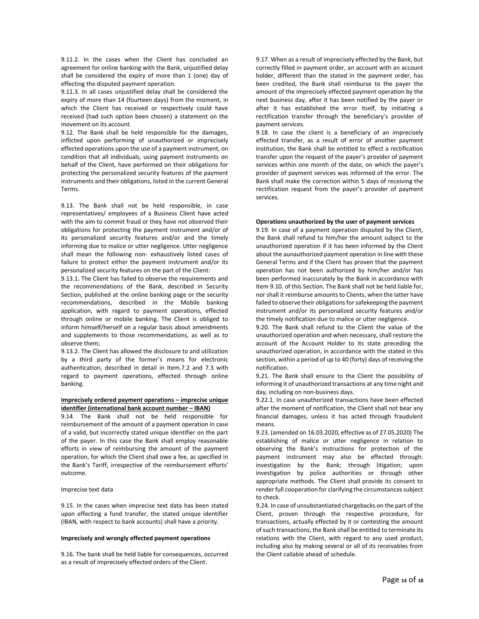9.11.2. In the cases when the Client has concluded an agreement for online banking with the Bank, unjustified delay shall be considered the expiry of more than 1 (one) day of effecting the disputed payment operation.

9.11.3. In all cases unjustified delay shall be considered the expiry of more than 14 (fourteen days) from the moment, in which the Client has received or respectively could have received (had such option been chosen) a statement on the movement on its account.

9.12. The Bank shall be held responsible for the damages, inflicted upon performing of unauthorized or imprecisely effected operations upon the use of a payment instrument, on condition that all individuals, using payment instruments on behalf of the Client, have performed on their obligations for protecting the personalized security features of the payment instruments and their obligations, listed in the current General Terms.

9.13. The Bank shall not be held responsible, in case representatives/ employees of a Business Client have acted with the aim to commit fraud or they have not observed their obligations for protecting the payment instrument and/or of its personalized security features and/or and the timely informing due to malice or utter negligence. Utter negligence shall mean the following non- exhaustively listed cases of failure to protect either the payment instrument and/or its personalized security features on the part of the Client:

9.13.1. The Client has failed to observe the requirements and the recommendations of the Bank, described in Security Section, published at the online banking page or the security recommendations, described in the Mobile banking application, with regard to payment operations, effected through online or mobile banking. The Client is obliged to inform himself/herself on a regular basis about amendments and supplements to those recommendations, as well as to observe them;

9.13.2. The Client has allowed the disclosure to and utilization by a third party of the former's means for electronic authentication, described in detail in Item.7.2 and 7.3 with regard to payment operations, effected through online banking.

# **Imprecisely ordered payment operations – imprecise unique identifier (international bank account number – IBAN)**

9.14. The Bank shall not be held responsible for reimbursement of the amount of a payment operation in case of a valid, but incorrectly stated unique identifier on the part of the payer. In this case the Bank shall employ reasonable efforts in view of reimbursing the amount of the payment operation, for which the Client shall owe a fee, as specified in the Bank's Tariff, irrespective of the reimbursement efforts' outcome.

### Imprecise text data

9.15. In the cases when imprecise text data has been stated upon effecting a fund transfer, the stated unique identifier (IBAN, with respect to bank accounts) shall have a priority.

### **Imprecisely and wrongly effected payment operations**

9.16. The bank shall be held liable for consequences, occurred as a result of imprecisely effected orders of the Client.

9.17. When as a result of imprecisely effected by the Bank, but correctly filled in payment order, an account with an account holder, different than the stated in the payment order, has been credited, the Bank shall reimburse to the payer the amount of the imprecisely effected payment operation by the next business day, after it has been notified by the payer or after it has established the error itself, by initiating a rectification transfer through the beneficiary's provider of payment services.

9.18. In case the client is a beneficiary of an imprecisely effected transfer, as a result of error of another payment institution, the Bank shall be entitled to effect a rectification transfer upon the request of the payer's provider of payment services within one month of the date, on which the payer's provider of payment services was informed of the error. The Bank shall make the correction within 5 days of receiving the rectification request from the payer's provider of payment services.

#### **Operations unauthorized by the user of payment services**

9.19. In case of a payment operation disputed by the Client, the Bank shall refund to him/her the amount subject to the unauthorized operation if it has been informed by the Client about the aunauthorized payment operation in line with these General Terms and if the Client has proven that the payment operation has not been authorized by him/her and/or has been performed inaccurately by the Bank in accordance with Item 9.10. of this Section. The Bank shall not be held liable for, nor shall it reimburse amounts to Clients, when the latter have failed to observe their obligations for safekeeping the payment instrument and/or its personalized security features and/or the timely notification due to malice or utter negligence.

9.20. The Bank shall refund to the Client the value of the unauthorized operation and when necessary, shall restore the account of the Account Holder to its state preceding the unauthorized operation, in accordance with the stated in this section, within a period of up to 40 (forty) days of receiving the notification.

9.21. The Bank shall ensure to the Client the possibility of informing it of unauthorized transactions at any time night and day, including on non-business days.

9.22.1. In case unauthorized transactions have been effected after the moment of notification, the Client shall not bear any financial damages, unless it has acted through fraudulent means.

9.23. (amended on 16.03.2020, effective as of 27.05.2020) The establishing of malice or utter negligence in relation to observing the Bank's instructions for protection of the payment instrument may also be effected through: investigation by the Bank; through litigation; upon investigation by police authorities or through other appropriate methods. The Client shall provide its consent to render full cooperation for clarifying the circumstances subject to check.

9.24. In case of unsubstantiated chargebacks on the part of the Client, proven through the respective procedure, for transactions, actually effected by it or contesting the amount of such transactions, the Bank shall be entitled to terminate its relations with the Client, with regard to any used product, including also by making several or all of its receivables from the Client callable ahead of schedule.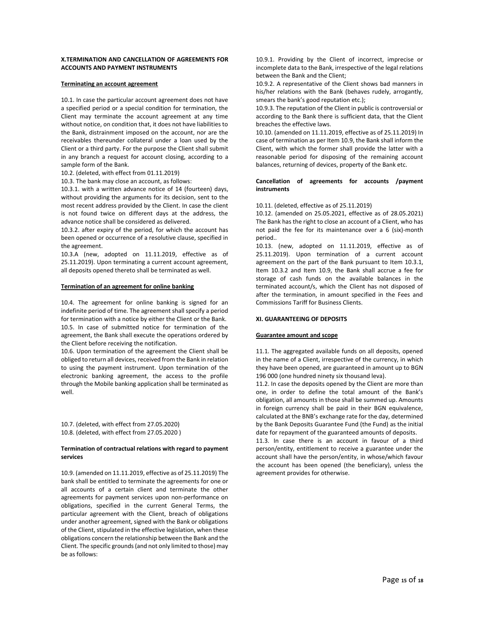### **X.TERMINATION AND CANCELLATION OF AGREEMENTS FOR ACCOUNTS AND PAYMENT INSTRUMENTS**

### **Terminating an account agreement**

10.1. In case the particular account agreement does not have a specified period or a special condition for termination, the Client may terminate the account agreement at any time without notice, on condition that, it does not have liabilities to the Bank, distrainment imposed on the account, nor are the receivables thereunder collateral under a loan used by the Client or a third party. For the purpose the Client shall submit in any branch a request for account closing, according to a sample form of the Bank.

10.2. (deleted, with effect from 01.11.2019)

10.3. The bank may close an account, as follows:

10.3.1. with a written advance notice of 14 (fourteen) days, without providing the arguments for its decision, sent to the most recent address provided by the Client. In case the client is not found twice on different days at the address, the advance notice shall be considered as delivered.

10.3.2. after expiry of the period, for which the account has been opened or occurrence of a resolutive clause, specified in the agreement.

10.3.A (new, adopted on 11.11.2019, effective as of 25.11.2019). Upon terminating a current account agreement, all deposits opened thereto shall be terminated as well.

#### **Termination of an agreement for online banking**

10.4. The agreement for online banking is signed for an indefinite period of time. The agreement shall specify a period for termination with a notice by either the Client or the Bank. 10.5. In case of submitted notice for termination of the agreement, the Bank shall execute the operations ordered by the Client before receiving the notification.

10.6. Upon termination of the agreement the Client shall be obliged to return all devices, received from the Bank in relation to using the payment instrument. Upon termination of the electronic banking agreement, the access to the profile through the Mobile banking application shall be terminated as well.

10.7. (deleted, with effect from 27.05.2020) 10.8. (deleted, with effect from 27.05.2020 )

### **Termination of contractual relations with regard to payment services**

10.9. (amended on 11.11.2019, effective as of 25.11.2019) The bank shall be entitled to terminate the agreements for one or all accounts of a certain client and terminate the other agreements for payment services upon non-performance on obligations, specified in the current General Terms, the particular agreement with the Client, breach of obligations under another agreement, signed with the Bank or obligations of the Client, stipulated in the effective legislation, when these obligations concern the relationship between the Bank and the Client. The specific grounds (and not only limited to those) may be as follows:

10.9.1. Providing by the Client of incorrect, imprecise or incomplete data to the Bank, irrespective of the legal relations between the Bank and the Client;

10.9.2. A representative of the Client shows bad manners in his/her relations with the Bank (behaves rudely, arrogantly, smears the bank's good reputation etc.);

10.9.3. The reputation of the Client in public is controversial or according to the Bank there is sufficient data, that the Client breaches the effective laws.

10.10. (amended on 11.11.2019, effective as of 25.11.2019) In case of termination as per Item 10.9, the Bank shall inform the Client, with which the former shall provide the latter with a reasonable period for disposing of the remaining account balances, returning of devices, property of the Bank etc.

### **Cancellation of agreements for accounts /payment instruments**

10.11. (deleted, effective as of 25.11.2019)

10.12. (amended on 25.05.2021, effective as of 28.05.2021) The Bank has the right to close an account of a Client, who has not paid the fee for its maintenance over a 6 (six)-month period..

10.13. (new, adopted on 11.11.2019, effective as of 25.11.2019). Upon termination of a current account agreement on the part of the Bank pursuant to Item 10.3.1, Item 10.3.2 and Item 10.9, the Bank shall accrue a fee for storage of cash funds on the available balances in the terminated account/s, which the Client has not disposed of after the termination, in amount specified in the Fees and Commissions Tariff for Business Clients.

# **XI. GUARANTEEING OF DEPOSITS**

#### **Guarantee amount and scope**

11.1. The aggregated available funds on all deposits, opened in the name of a Client, irrespective of the currency, in which they have been opened, are guaranteed in amount up to BGN 196 000 (one hundred ninety six thousand leva).

11.2. In case the deposits opened by the Client are more than one, in order to define the total amount of the Bank's obligation, all amounts in those shall be summed up. Amounts in foreign currency shall be paid in their BGN equivalence, calculated at the BNB's exchange rate for the day, determined by the Bank Deposits Guarantee Fund (the Fund) as the initial date for repayment of the guaranteed amounts of deposits.

11.3. In case there is an account in favour of a third person/entity, entitlement to receive a guarantee under the account shall have the person/entity, in whose/which favour the account has been opened (the beneficiary), unless the agreement provides for otherwise.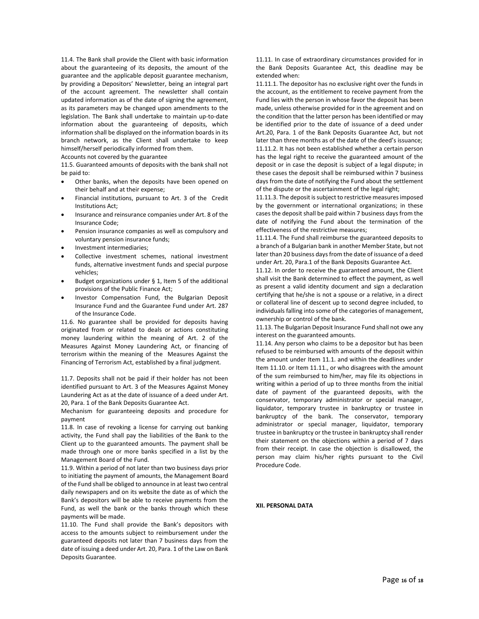11.4. The Bank shall provide the Client with basic information about the guaranteeing of its deposits, the amount of the guarantee and the applicable deposit guarantee mechanism, by providing a Depositors' Newsletter, being an integral part of the account agreement. The newsletter shall contain updated information as of the date of signing the agreement, as its parameters may be changed upon amendments to the legislation. The Bank shall undertake to maintain up-to-date information about the guaranteeing of deposits, which information shall be displayed on the information boards in its branch network, as the Client shall undertake to keep himself/herself periodically informed from them.

Accounts not covered by the guarantee

11.5. Guaranteed amounts of deposits with the bank shall not be paid to:

- Other banks, when the deposits have been opened on their behalf and at their expense;
- Financial institutions, pursuant to Art. 3 of the Credit Institutions Act;
- Insurance and reinsurance companies under Art. 8 of the Insurance Code;
- Pension insurance companies as well as compulsory and voluntary pension insurance funds;
- Investment intermediaries;
- Collective investment schemes, national investment funds, alternative investment funds and special purpose vehicles;
- Budget organizations under  $\S$  1, Item 5 of the additional provisions of the Public Finance Act;
- Investor Compensation Fund, the Bulgarian Deposit Insurance Fund and the Guarantee Fund under Art. 287 of the Insurance Code.

11.6. No guarantee shall be provided for deposits having originated from or related to deals or actions constituting money laundering within the meaning of Art. 2 of the Measures Against Money Laundering Act, or financing of terrorism within the meaning of the Measures Against the Financing of Terrorism Act, established by a final judgment.

11.7. Deposits shall not be paid if their holder has not been identified pursuant to Art. 3 of the Measures Against Money Laundering Act as at the date of issuance of a deed under Art. 20, Para. 1 of the Bank Deposits Guarantee Act.

Mechanism for guaranteeing deposits and procedure for payment

11.8. In case of revoking a license for carrying out banking activity, the Fund shall pay the liabilities of the Bank to the Client up to the guaranteed amounts. The payment shall be made through one or more banks specified in a list by the Management Board of the Fund.

11.9. Within a period of not later than two business days prior to initiating the payment of amounts, the Management Board of the Fund shall be obliged to announce in at least two central daily newspapers and on its website the date as of which the Bank's depositors will be able to receive payments from the Fund, as well the bank or the banks through which these payments will be made.

11.10. The Fund shall provide the Bank's depositors with access to the amounts subject to reimbursement under the guaranteed deposits not later than 7 business days from the date of issuing a deed under Art. 20, Para. 1 of the Law on Bank Deposits Guarantee.

11.11. In case of extraordinary circumstances provided for in the Bank Deposits Guarantee Act, this deadline may be extended when:

11.11.1. The depositor has no exclusive right over the funds in the account, as the entitlement to receive payment from the Fund lies with the person in whose favor the deposit has been made, unless otherwise provided for in the agreement and on the condition that the latter person has been identified or may be identified prior to the date of issuance of a deed under Art.20, Para. 1 of the Bank Deposits Guarantee Act, but not later than three months as of the date of the deed's issuance; 11.11.2. It has not been established whether a certain person has the legal right to receive the guaranteed amount of the deposit or in case the deposit is subject of a legal dispute; in these cases the deposit shall be reimbursed within 7 business days from the date of notifying the Fund about the settlement of the dispute or the ascertainment of the legal right;

11.11.3. The deposit is subject to restrictive measures imposed by the government or international organizations; in these cases the deposit shall be paid within 7 business days from the date of notifying the Fund about the termination of the effectiveness of the restrictive measures;

11.11.4. The Fund shall reimburse the guaranteed deposits to a branch of a Bulgarian bank in another Member State, but not later than 20 business days from the date of issuance of a deed under Art. 20, Para.1 of the Bank Deposits Guarantee Act.

11.12. In order to receive the guaranteed amount, the Client shall visit the Bank determined to effect the payment, as well as present a valid identity document and sign a declaration certifying that he/she is not a spouse or a relative, in a direct or collateral line of descent up to second degree included, to individuals falling into some of the categories of management, ownership or control of the bank.

11.13. The Bulgarian Deposit Insurance Fund shall not owe any interest on the guaranteed amounts.

11.14. Any person who claims to be a depositor but has been refused to be reimbursed with amounts of the deposit within the amount under Item 11.1. and within the deadlines under Item 11.10. or Item 11.11., or who disagrees with the amount of the sum reimbursed to him/her, may file its objections in writing within a period of up to three months from the initial date of payment of the guaranteed deposits, with the conservator, temporary administrator or special manager, liquidator, temporary trustee in bankruptcy or trustee in bankruptcy of the bank. The conservator, temporary administrator or special manager, liquidator, temporary trustee in bankruptcy or the trustee in bankruptcy shall render their statement on the objections within a period of 7 days from their receipt. In case the objection is disallowed, the person may claim his/her rights pursuant to the Civil Procedure Code.

**XII. PERSONAL DATA**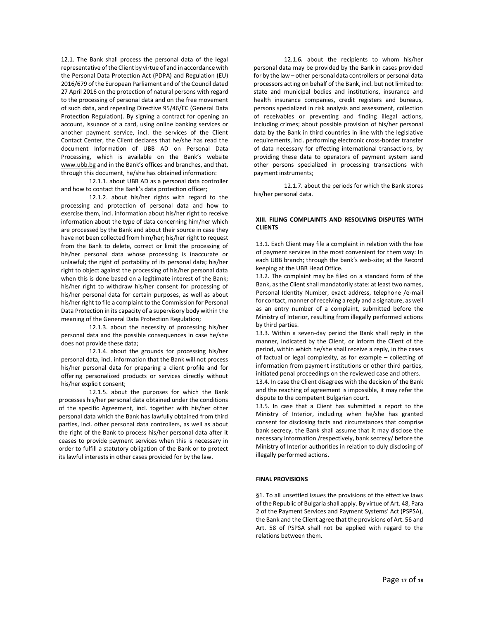12.1. The Bank shall process the personal data of the legal representative of the Client by virtue of and in accordance with the Personal Data Protection Act (PDPA) and Regulation (EU) 2016/679 of the European Parliament and of the Council dated 27 April 2016 on the protection of natural persons with regard to the processing of personal data and on the free movement of such data, and repealing Directive 95/46/EC (General Data Protection Regulation). By signing a contract for opening an account, issuance of a card, using online banking services or another payment service, incl. the services of the Client Contact Center, the Client declares that he/she has read the document Information of UBB AD on Personal Data Processing, which is available on the Bank's website [www.ubb.bg](http://www.ubb.bg/) and in the Bank's offices and branches, and that, through this document, he/she has obtained information:

12.1.1. about UBB AD as a personal data controller and how to contact the Bank's data protection officer;

12.1.2. about his/her rights with regard to the processing and protection of personal data and how to exercise them, incl. information about his/her right to receive information about the type of data concerning him/her which are processed by the Bank and about their source in case they have not been collected from him/her; his/her right to request from the Bank to delete, correct or limit the processing of his/her personal data whose processing is inaccurate or unlawful**;** the right of portability of its personal data; his/her right to object against the processing of his/her personal data when this is done based on a legitimate interest of the Bank; his/her right to withdraw his/her consent for processing of his/her personal data for certain purposes, as well as about his/her right to file a complaint to the Commission for Personal Data Protection in its capacity of a supervisory body within the meaning of the General Data Protection Regulation;

12.1.3. about the necessity of processing his/her personal data and the possible consequences in case he/she does not provide these data;

12.1.4. about the grounds for processing his/her personal data, incl. information that the Bank will not process his/her personal data for preparing a client profile and for offering personalized products or services directly without his/her explicit consent;

12.1.5. about the purposes for which the Bank processes his/her personal data obtained under the conditions of the specific Agreement, incl. together with his/her other personal data which the Bank has lawfully obtained from third parties, incl. other personal data controllers, as well as about the right of the Bank to process his/her personal data after it ceases to provide payment services when this is necessary in order to fulfill a statutory obligation of the Bank or to protect its lawful interests in other cases provided for by the law.

12.1.6**.** about the recipients to whom his/her personal data may be provided by the Bank in cases provided for by the law – other personal data controllers or personal data processors acting on behalf of the Bank, incl. but not limited to: state and municipal bodies and institutions, insurance and health insurance companies, credit registers and bureaus, persons specialized in risk analysis and assessment, collection of receivables or preventing and finding illegal actions, including crimes; about possible provision of his/her personal data by the Bank in third countries in line with the legislative requirements, incl. performing electronic cross-border transfer of data necessary for effecting international transactions, by providing these data to operators of payment system sand other persons specialized in processing transactions with payment instruments;

12.1.7. about the periods for which the Bank stores his/her personal data.

# **XIII. FILING COMPLAINTS AND RESOLVING DISPUTES WITH CLIENTS**

13.1. Each Client may file a complaint in relation with the hse of payment services in the most convenient for them way: In each UBB branch; through the bank's web-site; at the Record keeping at the UBB Head Office.

13.2. The complaint may be filed on a standard form of the Bank, as the Client shall mandatorily state: at least two names, Personal Identity Number, exact address, telephone /e-mail for contact, manner of receiving a reply and a signature, as well as an entry number of a complaint, submitted before the Ministry of Interior, resulting from illegally performed actions by third parties.

13.3. Within a seven-day period the Bank shall reply in the manner, indicated by the Client, or inform the Client of the period, within which he/she shall receive a reply, in the cases of factual or legal complexity, as for example – collecting of information from payment institutions or other third parties, initiated penal proceedings on the reviewed case and others.

13.4. In case the Client disagrees with the decision of the Bank and the reaching of agreement is impossible, it may refer the dispute to the competent Bulgarian court.

13.5. In case that a Client has submitted a report to the Ministry of Interior, including when he/she has granted consent for disclosing facts and circumstances that comprise bank secrecy, the Bank shall assume that it may disclose the necessary information /respectively, bank secrecy/ before the Ministry of Interior authorities in relation to duly disclosing of illegally performed actions.

#### **FINAL PROVISIONS**

§1. To all unsettled issues the provisions of the effective laws of the Republic of Bulgaria shall apply. By virtue of Art. 48, Para 2 of the Payment Services and Payment Systems' Act (PSPSA), the Bank and the Client agree that the provisions of Art. 56 and Art. 58 of PSPSA shall not be applied with regard to the relations between them.